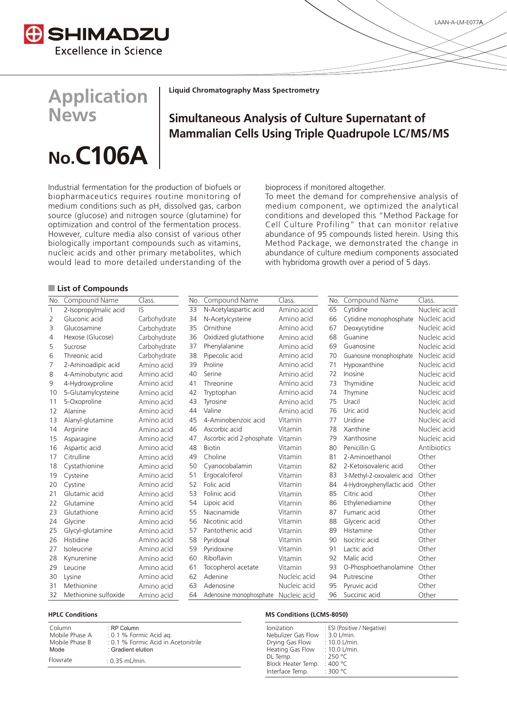

**Application**

**No.C106\$**

**News**

**Liquid Chromatography Mass Spectrometry**

# **Simultaneous Analysis of Culture Supernatant of Mammalian Cells Using Triple Quadrupole LC/MS/MS**

Industrial fermentation for the production of biofuels or biopharmaceutics requires routine monitoring of medium conditions such as pH, dissolved gas, carbon source (glucose) and nitrogen source (glutamine) for optimization and control of the fermentation process. However, culture media also consist of various other biologically important compounds such as vitamins, nucleic acids and other primary metabolites, which

would lead to more detailed understanding of the

bioprocess if monitored altogether.

To meet the demand for comprehensive analysis of medium component, we optimized the analytical conditions and developed this "Method Package for Cell Culture Profiling" that can monitor relative abundance of 95 compounds listed herein. Using this Method Package, we demonstrated the change in abundance of culture medium components associated with hybridoma growth over a period of 5 days.

## Q **List of Compounds**

| No.          | Compound Name         | Class.       | No. | Compound Name                        | Class.       | No. | Compound Name              | Class.       |
|--------------|-----------------------|--------------|-----|--------------------------------------|--------------|-----|----------------------------|--------------|
| $\mathbf{1}$ | 2-Isopropylmalic acid | $\sqrt{2}$   | 33  | N-Acetylaspartic acid                | Amino acid   | 65  | Cytidine                   | Nucleic acid |
| 2            | Gluconic acid         | Carbohydrate | 34  | N-Acetylcysteine                     | Amino acid   | 66  | Cytidine monophosphate     | Nucleic acid |
| 3            | Glucosamine           | Carbohydrate | 35  | Ornithine                            | Amino acid   | 67  | Deoxycytidine              | Nucleic acid |
| 4            | Hexose (Glucose)      | Carbohydrate | 36  | Oxidized glutathione                 | Amino acid   | 68  | Guanine                    | Nucleic acid |
| 5            | Sucrose               | Carbohydrate | 37  | Phenylalanine                        | Amino acid   | 69  | Guanosine                  | Nucleic acid |
| 6            | Threonic acid         | Carbohydrate | 38  | Pipecolic acid                       | Amino acid   | 70  | Guanosine monophosphate    | Nucleic acid |
| 7            | 2-Aminoadipic acid    | Amino acid   | 39  | Proline                              | Amino acid   | 71  | Hypoxanthine               | Nucleic acid |
| 8            | 4-Aminobutyric acid   | Amino acid   | 40  | Serine                               | Amino acid   | 72  | Inosine                    | Nucleic acid |
| 9            | 4-Hydroxyproline      | Amino acid   | 41  | Threonine                            | Amino acid   | 73  | Thymidine                  | Nucleic acid |
| 10           | 5-Glutamylcysteine    | Amino acid   | 42  | Tryptophan                           | Amino acid   | 74  | Thymine                    | Nucleic acid |
| 11           | 5-Oxoproline          | Amino acid   | 43  | Tyrosine                             | Amino acid   | 75  | Uracil                     | Nucleic acid |
| 12           | Alanine               | Amino acid   | 44  | Valine                               | Amino acid   | 76  | Uric acid                  | Nucleic acid |
| 13           | Alanyl-glutamine      | Amino acid   | 45  | 4-Aminobenzoic acid                  | Vitamin      | 77  | Uridine                    | Nucleic acid |
| 14           | Arginine              | Amino acid   | 46  | Ascorbic acid                        | Vitamin      | 78  | Xanthine                   | Nucleic acid |
| 15           | Asparagine            | Amino acid   | 47  | Ascorbic acid 2-phosphate            | Vitamin      | 79  | Xanthosine                 | Nucleic acid |
| 16           | Aspartic acid         | Amino acid   | 48  | <b>Biotin</b>                        | Vitamin      | 80  | Penicillin G               | Antibiotics  |
| 17           | Citrulline            | Amino acid   | 49  | Choline                              | Vitamin      | 81  | 2-Aminoethanol             | Other        |
| 18           | Cystathionine         | Amino acid   | 50  | Cyanocobalamin                       | Vitamin      | 82  | 2-Ketoisovaleric acid      | Other        |
| 19           | Cysteine              | Amino acid   | 51  | Ergocalciferol                       | Vitamin      | 83  | 3-Methyl-2-oxovaleric acid | Other        |
| 20           | Cystine               | Amino acid   | 52  | Folic acid                           | Vitamin      | 84  | 4-Hydroxyphenyllactic acid | Other        |
| 21           | Glutamic acid         | Amino acid   | 53  | Folinic acid                         | Vitamin      | 85  | Citric acid                | Other        |
| 22           | Glutamine             | Amino acid   | 54  | Lipoic acid                          | Vitamin      | 86  | Ethylenediamine            | Other        |
| 23           | Glutathione           | Amino acid   | 55  | Niacinamide                          | Vitamin      | 87  | Fumaric acid               | Other        |
| 24           | Glycine               | Amino acid   | 56  | Nicotinic acid                       | Vitamin      | 88  | Glyceric acid              | Other        |
| 25           | Glycyl-glutamine      | Amino acid   | 57  | Pantothenic acid                     | Vitamin      | 89  | Histamine                  | Other        |
| 26           | Histidine             | Amino acid   | 58  | Pyridoxal                            | Vitamin      | 90  | Isocitric acid             | Other        |
| 27           | Isoleucine            | Amino acid   | 59  | Pyridoxine                           | Vitamin      | 91  | Lactic acid                | Other        |
| 28           | Kynurenine            | Amino acid   | 60  | Riboflavin                           | Vitamin      | 92  | Malic acid                 | Other        |
| 29           | Leucine               | Amino acid   | 61  | Tocopherol acetate                   | Vitamin      | 93  | O-Phosphoethanolamine      | Other        |
| 30           | Lysine                | Amino acid   | 62  | Adenine                              | Nucleic acid | 94  | Putrescine                 | Other        |
| 31           | Methionine            | Amino acid   | 63  | Adenosine                            | Nucleic acid | 95  | Pyruvic acid               | Other        |
| 32           | Methionine sulfoxide  | Amino acid   | 64  | Adenosine monophosphate Nucleic acid |              | 96  | Succinic acid              | Other        |

| Column         | $:$ RP Column                       |
|----------------|-------------------------------------|
| Mobile Phase A | : 0.1 % Formic Acid ag.             |
| Mobile Phase B | : 0.1 % Formic Acid in Acetonitrile |
| Mode           | : Gradient elution                  |
| Flowrate       | $: 0.35$ mL/min.                    |

### **HPLC Conditions MS Conditions (LCMS-8050)**

| Ionization<br>Nebulizer Gas Flow<br>Drying Gas Flow<br>Heating Gas Flow | : ESI (Positive / Negative)<br>$: 3.0$ L/min.<br>$: 10.0$ L/min.<br>$: 10.0$ L/min. |
|-------------------------------------------------------------------------|-------------------------------------------------------------------------------------|
| DL Temp.                                                                | :250 °C                                                                             |
| Block Heater Temp.                                                      | : 400 $^{\circ}$ C                                                                  |
| Interface Temp.                                                         | : 300 $^{\circ}$ C                                                                  |